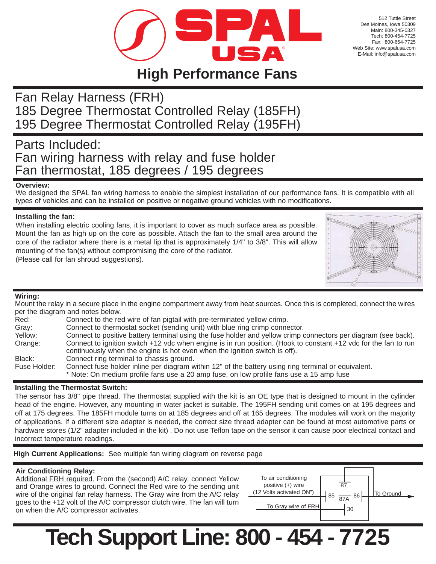

512 Tuttle Street Des Moines, Iowa 50309 Main: 800-345-0327 Tech: 800-454-7725 Fax: 800-654-7725 Web Site: www.spalusa.com E-Mail: info@spalusa.com

## **High Performance Fans**

## Fan Relay Harness (FRH) 185 Degree Thermostat Controlled Relay (185FH) 195 Degree Thermostat Controlled Relay (195FH)

### Parts Included: Fan wiring harness with relay and fuse holder Fan thermostat, 185 degrees / 195 degrees

#### **Overview:**

We designed the SPAL fan wiring harness to enable the simplest installation of our performance fans. It is compatible with all types of vehicles and can be installed on positive or negative ground vehicles with no modifications.

#### **Installing the fan:**

When installing electric cooling fans, it is important to cover as much surface area as possible. Mount the fan as high up on the core as possible. Attach the fan to the small area around the core of the radiator where there is a metal lip that is approximately 1/4" to 3/8". This will allow mounting of the fan(s) without compromising the core of the radiator. (Please call for fan shroud suggestions).



#### **Wiring:**

Mount the relay in a secure place in the engine compartment away from heat sources. Once this is completed, connect the wires per the diagram and notes below.

| Red:         | Connect to the red wire of fan pigtail with pre-terminated yellow crimp.                                        |  |
|--------------|-----------------------------------------------------------------------------------------------------------------|--|
| Gray:        | Connect to thermostat socket (sending unit) with blue ring crimp connector.                                     |  |
| Yellow:      | Connect to positive battery terminal using the fuse holder and yellow crimp connectors per diagram (see back).  |  |
| Orange:      | Connect to ignition switch +12 vdc when engine is in run position. (Hook to constant +12 vdc for the fan to run |  |
|              | continuously when the engine is hot even when the ignition switch is off).                                      |  |
| Black:       | Connect ring terminal to chassis ground.                                                                        |  |
| Fuse Holder: | Connect fuse holder inline per diagram within 12" of the battery using ring terminal or equivalent.             |  |
|              | * Note: On medium profile fans use a 20 amp fuse, on low profile fans use a 15 amp fuse                         |  |

#### **Installing the Thermostat Switch:**

The sensor has 3/8" pipe thread. The thermostat supplied with the kit is an OE type that is designed to mount in the cylinder head of the engine. However, any mounting in water jacket is suitable. The 195FH sending unit comes on at 195 degrees and off at 175 degrees. The 185FH module turns on at 185 degrees and off at 165 degrees. The modules will work on the majority of applications. If a different size adapter is needed, the correct size thread adapter can be found at most automotive parts or hardware stores (1/2" adapter included in the kit) . Do not use Teflon tape on the sensor it can cause poor electrical contact and incorrect temperature readings.

**High Current Applications:** See multiple fan wiring diagram on reverse page

#### **Air Conditioning Relay:**

Additional FRH required. From the (second) A/C relay, connect Yellow and Orange wires to ground. Connect the Red wire to the sending unit wire of the original fan relay harness. The Gray wire from the A/C relay goes to the +12 volt of the A/C compressor clutch wire. The fan will turn on when the A/C compressor activates.



# **Tech Support Line: 800 - 454 - 7725**